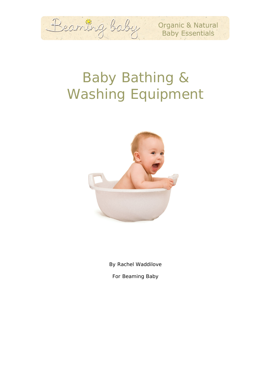

Organic & Natural **Baby Essentials** 

# Baby Bathing & Washing Equipment



By Rachel Waddilove

For Beaming Baby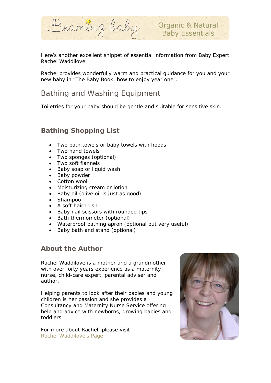

Here's another excellent snippet of essential information from Baby Expert Rachel Waddilove.

Rachel provides wonderfully warm and practical guidance for you and your new baby in "The Baby Book, how to enjoy year one".

# Bathing and Washing Equipment

Toiletries for your baby should be gentle and suitable for sensitive skin.

# *Bathing Shopping List*

- Two bath towels or baby towels with hoods
- Two hand towels
- Two sponges (optional)
- Two soft flannels
- Baby soap or liquid wash
- Baby powder
- Cotton wool
- Moisturizing cream or lotion
- Baby oil (olive oil is just as good)
- Shampoo
- A soft hairbrush
- Baby nail scissors with rounded tips
- Bath thermometer (optional)
- Waterproof bathing apron (optional but very useful)
- Baby bath and stand (optional)

#### *About the Author*

Rachel Waddilove is a mother and a grandmother with over forty years experience as a maternity nurse, child-care expert, parental adviser and author.

Helping parents to look after their babies and young children is her passion and she provides a Consultancy and Maternity Nurse Service offering help and advice with newborns, growing babies and toddlers.

For more about Rachel, please visit [Rachel Waddilove's Page](http://www.beamingbaby.co.uk/baby_products/rachel_waddilove.html)